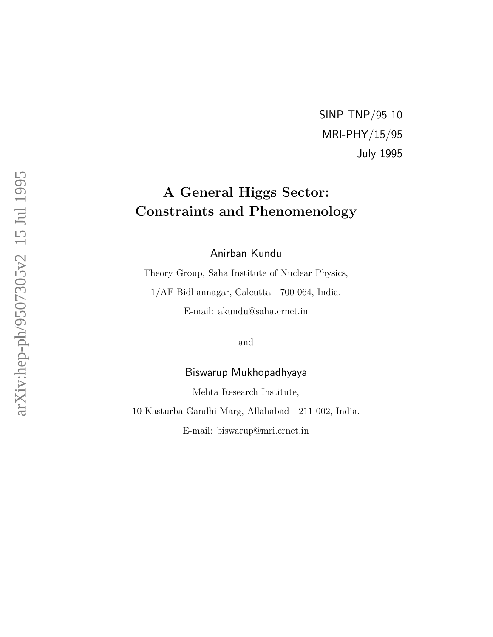SINP-TNP/95-10 MRI-PHY/15/95 July 1995

# A General Higgs Sector: Constraints and Phenomenology

Anirban Kundu

Theory Group, Saha Institute of Nuclear Physics,

1/AF Bidhannagar, Calcutta - 700 064, India.

E-mail: akundu@saha.ernet.in

and

### Biswarup Mukhopadhyaya

Mehta Research Institute,

10 Kasturba Gandhi Marg, Allahabad - 211 002, India.

E-mail: biswarup@mri.ernet.in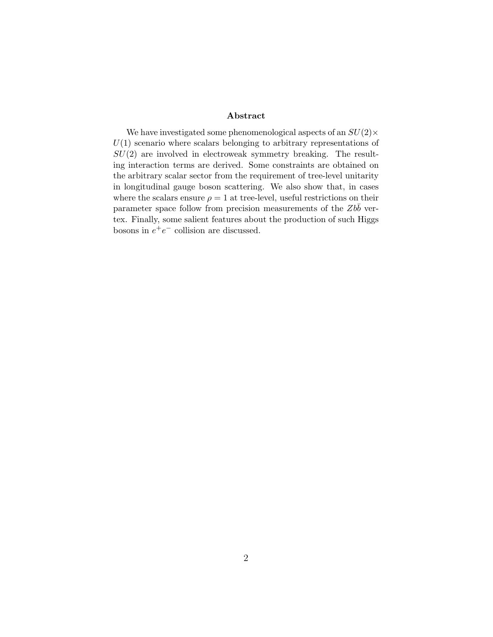#### Abstract

We have investigated some phenomenological aspects of an  $SU(2) \times$  $U(1)$  scenario where scalars belonging to arbitrary representations of  $SU(2)$  are involved in electroweak symmetry breaking. The resulting interaction terms are derived. Some constraints are obtained on the arbitrary scalar sector from the requirement of tree-level unitarity in longitudinal gauge boson scattering. We also show that, in cases where the scalars ensure  $\rho = 1$  at tree-level, useful restrictions on their parameter space follow from precision measurements of the  $Zb\bar{b}$  vertex. Finally, some salient features about the production of such Higgs bosons in  $e^+e^-$  collision are discussed.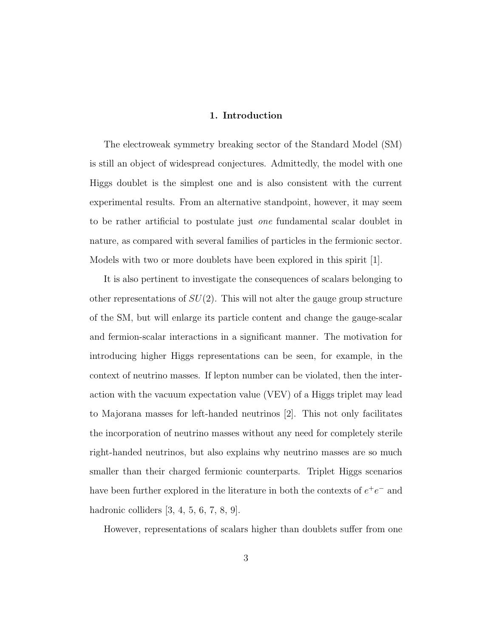#### 1. Introduction

The electroweak symmetry breaking sector of the Standard Model (SM) is still an object of widespread conjectures. Admittedly, the model with one Higgs doublet is the simplest one and is also consistent with the current experimental results. From an alternative standpoint, however, it may seem to be rather artificial to postulate just one fundamental scalar doublet in nature, as compared with several families of particles in the fermionic sector. Models with two or more doublets have been explored in this spirit [1].

It is also pertinent to investigate the consequences of scalars belonging to other representations of  $SU(2)$ . This will not alter the gauge group structure of the SM, but will enlarge its particle content and change the gauge-scalar and fermion-scalar interactions in a significant manner. The motivation for introducing higher Higgs representations can be seen, for example, in the context of neutrino masses. If lepton number can be violated, then the interaction with the vacuum expectation value (VEV) of a Higgs triplet may lead to Majorana masses for left-handed neutrinos [2]. This not only facilitates the incorporation of neutrino masses without any need for completely sterile right-handed neutrinos, but also explains why neutrino masses are so much smaller than their charged fermionic counterparts. Triplet Higgs scenarios have been further explored in the literature in both the contexts of  $e^+e^-$  and hadronic colliders [3, 4, 5, 6, 7, 8, 9].

However, representations of scalars higher than doublets suffer from one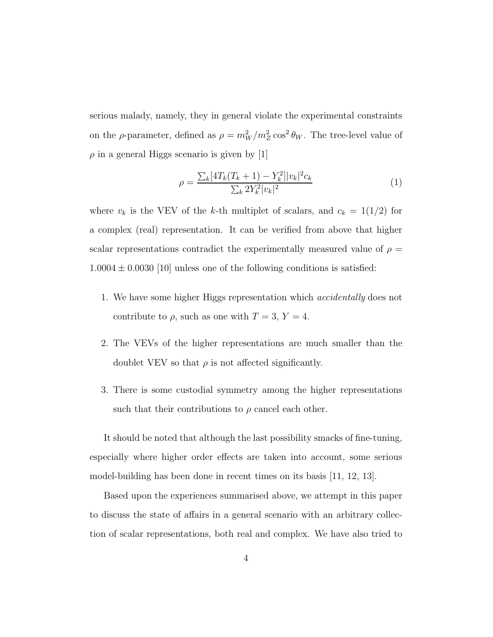serious malady, namely, they in general violate the experimental constraints on the  $\rho$ -parameter, defined as  $\rho = m_W^2/m_Z^2 \cos^2 \theta_W$ . The tree-level value of  $\rho$  in a general Higgs scenario is given by [1]

$$
\rho = \frac{\sum_{k} [4T_k(T_k + 1) - Y_k^2]|v_k|^2 c_k}{\sum_{k} 2Y_k^2 |v_k|^2} \tag{1}
$$

where  $v_k$  is the VEV of the k-th multiplet of scalars, and  $c_k = 1(1/2)$  for a complex (real) representation. It can be verified from above that higher scalar representations contradict the experimentally measured value of  $\rho =$  $1.0004 \pm 0.0030$  [10] unless one of the following conditions is satisfied:

- 1. We have some higher Higgs representation which accidentally does not contribute to  $\rho$ , such as one with  $T = 3$ ,  $Y = 4$ .
- 2. The VEVs of the higher representations are much smaller than the doublet VEV so that  $\rho$  is not affected significantly.
- 3. There is some custodial symmetry among the higher representations such that their contributions to  $\rho$  cancel each other.

It should be noted that although the last possibility smacks of fine-tuning, especially where higher order effects are taken into account, some serious model-building has been done in recent times on its basis [11, 12, 13].

Based upon the experiences summarised above, we attempt in this paper to discuss the state of affairs in a general scenario with an arbitrary collection of scalar representations, both real and complex. We have also tried to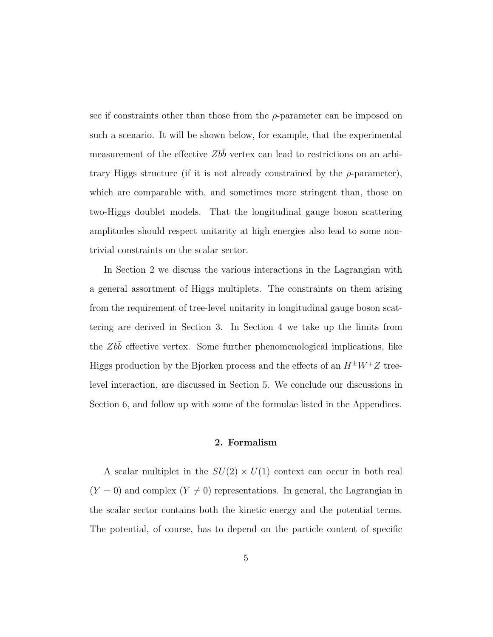see if constraints other than those from the  $\rho$ -parameter can be imposed on such a scenario. It will be shown below, for example, that the experimental measurement of the effective  $Zbb$  vertex can lead to restrictions on an arbitrary Higgs structure (if it is not already constrained by the  $\rho$ -parameter), which are comparable with, and sometimes more stringent than, those on two-Higgs doublet models. That the longitudinal gauge boson scattering amplitudes should respect unitarity at high energies also lead to some nontrivial constraints on the scalar sector.

In Section 2 we discuss the various interactions in the Lagrangian with a general assortment of Higgs multiplets. The constraints on them arising from the requirement of tree-level unitarity in longitudinal gauge boson scattering are derived in Section 3. In Section 4 we take up the limits from the  $Zb\bar{b}$  effective vertex. Some further phenomenological implications, like Higgs production by the Bjorken process and the effects of an  $H^{\pm}W^{\mp}Z$  treelevel interaction, are discussed in Section 5. We conclude our discussions in Section 6, and follow up with some of the formulae listed in the Appendices.

#### 2. Formalism

A scalar multiplet in the  $SU(2) \times U(1)$  context can occur in both real  $(Y = 0)$  and complex  $(Y \neq 0)$  representations. In general, the Lagrangian in the scalar sector contains both the kinetic energy and the potential terms. The potential, of course, has to depend on the particle content of specific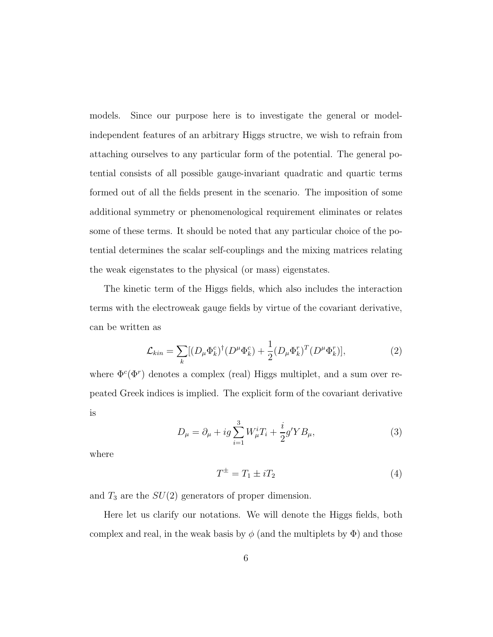models. Since our purpose here is to investigate the general or modelindependent features of an arbitrary Higgs structre, we wish to refrain from attaching ourselves to any particular form of the potential. The general potential consists of all possible gauge-invariant quadratic and quartic terms formed out of all the fields present in the scenario. The imposition of some additional symmetry or phenomenological requirement eliminates or relates some of these terms. It should be noted that any particular choice of the potential determines the scalar self-couplings and the mixing matrices relating the weak eigenstates to the physical (or mass) eigenstates.

The kinetic term of the Higgs fields, which also includes the interaction terms with the electroweak gauge fields by virtue of the covariant derivative, can be written as

$$
\mathcal{L}_{kin} = \sum_{k} [(D_{\mu} \Phi_k^c)^{\dagger} (D^{\mu} \Phi_k^c) + \frac{1}{2} (D_{\mu} \Phi_k^r)^T (D^{\mu} \Phi_k^r)],\tag{2}
$$

where  $\Phi^c(\Phi^r)$  denotes a complex (real) Higgs multiplet, and a sum over repeated Greek indices is implied. The explicit form of the covariant derivative is

$$
D_{\mu} = \partial_{\mu} + ig \sum_{i=1}^{3} W_{\mu}^{i} T_{i} + \frac{i}{2} g' Y B_{\mu}, \qquad (3)
$$

where

$$
T^{\pm} = T_1 \pm iT_2 \tag{4}
$$

and  $T_3$  are the  $SU(2)$  generators of proper dimension.

Here let us clarify our notations. We will denote the Higgs fields, both complex and real, in the weak basis by  $\phi$  (and the multiplets by  $\Phi$ ) and those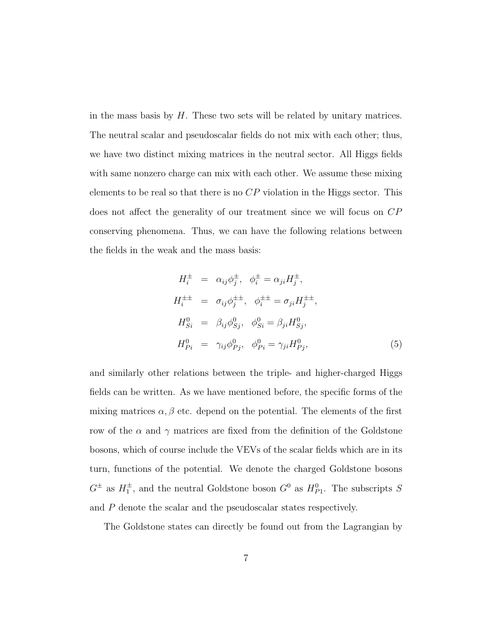in the mass basis by  $H$ . These two sets will be related by unitary matrices. The neutral scalar and pseudoscalar fields do not mix with each other; thus, we have two distinct mixing matrices in the neutral sector. All Higgs fields with same nonzero charge can mix with each other. We assume these mixing elements to be real so that there is no  $\mathbb{CP}$  violation in the Higgs sector. This does not affect the generality of our treatment since we will focus on CP conserving phenomena. Thus, we can have the following relations between the fields in the weak and the mass basis:

$$
H_i^{\pm} = \alpha_{ij}\phi_j^{\pm}, \quad \phi_i^{\pm} = \alpha_{ji}H_j^{\pm},
$$
  
\n
$$
H_i^{\pm \pm} = \sigma_{ij}\phi_j^{\pm \pm}, \quad \phi_i^{\pm \pm} = \sigma_{ji}H_j^{\pm \pm},
$$
  
\n
$$
H_{Si}^0 = \beta_{ij}\phi_{Sj}^0, \quad \phi_{Si}^0 = \beta_{ji}H_{Sj}^0,
$$
  
\n
$$
H_{Pi}^0 = \gamma_{ij}\phi_{Pj}^0, \quad \phi_{Pi}^0 = \gamma_{ji}H_{Pj}^0,
$$
  
\n(5)

and similarly other relations between the triple- and higher-charged Higgs fields can be written. As we have mentioned before, the specific forms of the mixing matrices  $\alpha, \beta$  etc. depend on the potential. The elements of the first row of the  $\alpha$  and  $\gamma$  matrices are fixed from the definition of the Goldstone bosons, which of course include the VEVs of the scalar fields which are in its turn, functions of the potential. We denote the charged Goldstone bosons  $G^{\pm}$  as  $H_1^{\pm}$ , and the neutral Goldstone boson  $G^0$  as  $H_{P_1}^0$ . The subscripts S and P denote the scalar and the pseudoscalar states respectively.

The Goldstone states can directly be found out from the Lagrangian by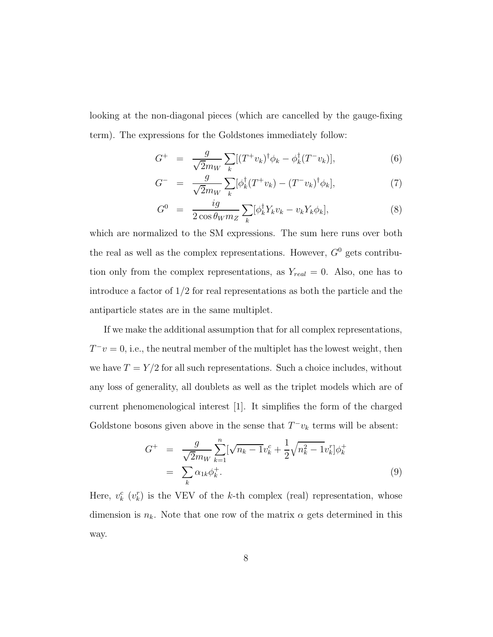looking at the non-diagonal pieces (which are cancelled by the gauge-fixing term). The expressions for the Goldstones immediately follow:

$$
G^{+} = \frac{g}{\sqrt{2}m_{W}} \sum_{k} [(T^{+}v_{k})^{\dagger} \phi_{k} - \phi_{k}^{\dagger} (T^{-}v_{k})], \qquad (6)
$$

$$
G^{-} = \frac{g}{\sqrt{2}m_{W}} \sum_{k} [\phi_{k}^{\dagger} (T^{+} v_{k}) - (T^{-} v_{k})^{\dagger} \phi_{k}], \qquad (7)
$$

$$
G^{0} = \frac{ig}{2\cos\theta_{W}m_{Z}}\sum_{k} [\phi_{k}^{\dagger}Y_{k}v_{k} - v_{k}Y_{k}\phi_{k}],
$$
\n(8)

which are normalized to the SM expressions. The sum here runs over both the real as well as the complex representations. However,  $G^0$  gets contribution only from the complex representations, as  $Y_{real} = 0$ . Also, one has to introduce a factor of  $1/2$  for real representations as both the particle and the antiparticle states are in the same multiplet.

If we make the additional assumption that for all complex representations,  $T^-v=0$ , i.e., the neutral member of the multiplet has the lowest weight, then we have  $T = Y/2$  for all such representations. Such a choice includes, without any loss of generality, all doublets as well as the triplet models which are of current phenomenological interest [1]. It simplifies the form of the charged Goldstone bosons given above in the sense that  $T^-v_k$  terms will be absent:

$$
G^{+} = \frac{g}{\sqrt{2}m_{W}} \sum_{k=1}^{n} [\sqrt{n_{k} - 1}v_{k}^{c} + \frac{1}{2}\sqrt{n_{k}^{2} - 1}v_{k}^{r}] \phi_{k}^{+}
$$
  

$$
= \sum_{k} \alpha_{1k} \phi_{k}^{+}.
$$
 (9)

Here,  $v_k^c$  ( $v_k^r$ ) is the VEV of the k-th complex (real) representation, whose dimension is  $n_k$ . Note that one row of the matrix  $\alpha$  gets determined in this way.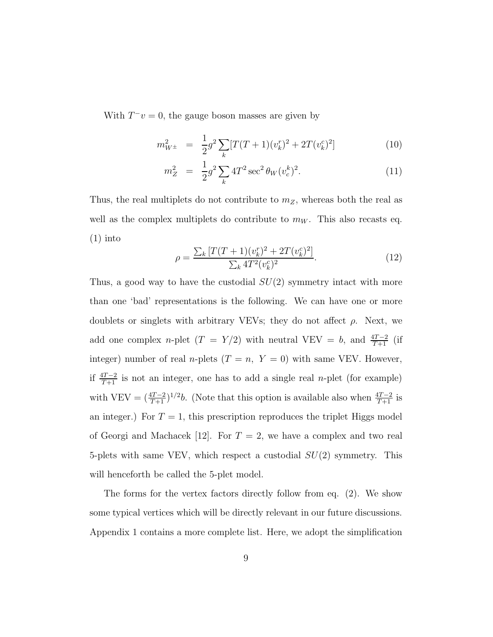With  $T^-v = 0$ , the gauge boson masses are given by

$$
m_{W^{\pm}}^2 = \frac{1}{2}g^2 \sum_{k} [T(T+1)(v_k^r)^2 + 2T(v_k^c)^2]
$$
(10)

$$
m_Z^2 = \frac{1}{2}g^2 \sum_k 4T^2 \sec^2 \theta_W (v_c^k)^2.
$$
 (11)

Thus, the real multiplets do not contribute to  $m_Z$ , whereas both the real as well as the complex multiplets do contribute to  $m_W$ . This also recasts eq.  $(1)$  into

$$
\rho = \frac{\sum_{k} \left[ T(T+1)(v_{k}^{r})^{2} + 2T(v_{k}^{c})^{2} \right]}{\sum_{k} 4T^{2}(v_{k}^{c})^{2}}.
$$
\n(12)

Thus, a good way to have the custodial  $SU(2)$  symmetry intact with more than one 'bad' representations is the following. We can have one or more doublets or singlets with arbitrary VEVs; they do not affect  $\rho$ . Next, we add one complex n-plet  $(T = Y/2)$  with neutral VEV = b, and  $\frac{4T-2}{T+1}$  (if integer) number of real *n*-plets  $(T = n, Y = 0)$  with same VEV. However, if  $\frac{4T-2}{T+1}$  is not an integer, one has to add a single real *n*-plet (for example) with VEV =  $(\frac{4T-2}{T+1})^{1/2}b$ . (Note that this option is available also when  $\frac{4T-2}{T+1}$  is an integer.) For  $T = 1$ , this prescription reproduces the triplet Higgs model of Georgi and Machacek [12]. For  $T = 2$ , we have a complex and two real 5-plets with same VEV, which respect a custodial  $SU(2)$  symmetry. This will henceforth be called the 5-plet model.

The forms for the vertex factors directly follow from eq. (2). We show some typical vertices which will be directly relevant in our future discussions. Appendix 1 contains a more complete list. Here, we adopt the simplification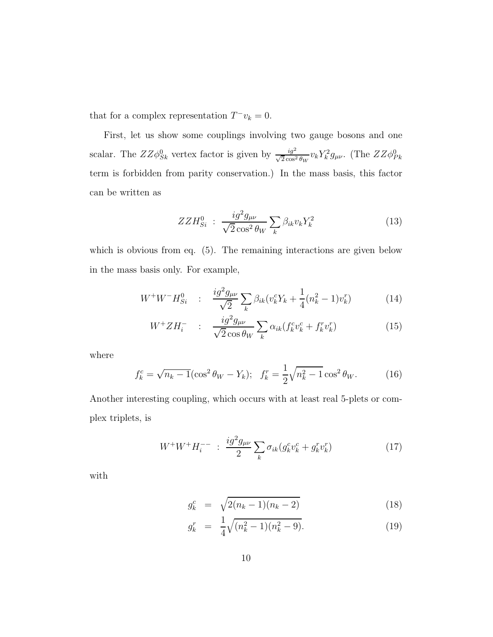that for a complex representation  $T^-v_k = 0$ .

First, let us show some couplings involving two gauge bosons and one scalar. The  $ZZ\phi_{Sk}^0$  vertex factor is given by  $\frac{ig^2}{\sqrt{2}\cos^2\theta_W}v_kY_k^2g_{\mu\nu}$ . (The  $ZZ\phi_{Pk}^0$ term is forbidden from parity conservation.) In the mass basis, this factor can be written as

$$
ZZH_{Si}^0: \frac{i g^2 g_{\mu\nu}}{\sqrt{2} \cos^2 \theta_W} \sum_k \beta_{ik} v_k Y_k^2 \tag{13}
$$

which is obvious from eq. (5). The remaining interactions are given below in the mass basis only. For example,

$$
W^+W^-H_{Si}^0 : \frac{ig^2g_{\mu\nu}}{\sqrt{2}}\sum_k \beta_{ik}(v_k^cY_k + \frac{1}{4}(n_k^2 - 1)v_k^r)
$$
 (14)

$$
W^+ Z H_i^- \quad : \quad \frac{i g^2 g_{\mu\nu}}{\sqrt{2} \cos \theta_W} \sum_k \alpha_{ik} (f_k^c v_k^c + f_k^r v_k^r) \tag{15}
$$

where

$$
f_k^c = \sqrt{n_k - 1} (\cos^2 \theta_W - Y_k); \quad f_k^r = \frac{1}{2} \sqrt{n_k^2 - 1} \cos^2 \theta_W. \tag{16}
$$

Another interesting coupling, which occurs with at least real 5-plets or complex triplets, is

$$
W^{+}W^{+}H_{i}^{--} \; : \; \frac{ig^{2}g_{\mu\nu}}{2} \sum_{k} \sigma_{ik}(g_{k}^{c}v_{k}^{c} + g_{k}^{r}v_{k}^{r}) \tag{17}
$$

with

$$
g_k^c = \sqrt{2(n_k - 1)(n_k - 2)}\tag{18}
$$

$$
g_k^r = \frac{1}{4} \sqrt{(n_k^2 - 1)(n_k^2 - 9)}.
$$
\n(19)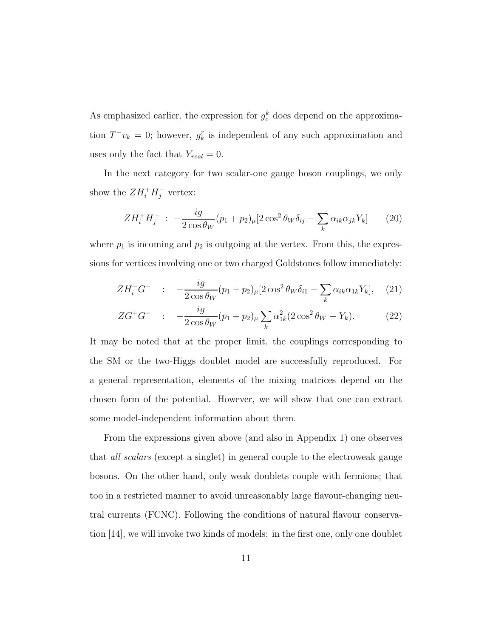As emphasized earlier, the expression for  $g_c^k$  does depend on the approximation  $T^-v_k = 0$ ; however,  $g_k^r$  is independent of any such approximation and uses only the fact that  $Y_{real} = 0$ .

In the next category for two scalar-one gauge boson couplings, we only show the  $ZH_i^+H_j^-$  vertex:

$$
ZH_i^+H_j^- \; : \; -\frac{ig}{2\cos\theta_W}(p_1+p_2)_{\mu}[2\cos^2\theta_W\delta_{ij}-\sum_k\alpha_{ik}\alpha_{jk}Y_k] \qquad (20)
$$

where  $p_1$  is incoming and  $p_2$  is outgoing at the vertex. From this, the expressions for vertices involving one or two charged Goldstones follow immediately:

$$
ZH_i^+G^- \quad : \quad -\frac{ig}{2\cos\theta_W}(p_1+p_2)_{\mu}[2\cos^2\theta_W\delta_{i1}-\sum_k\alpha_{ik}\alpha_{1k}Y_k], \quad (21)
$$

$$
ZG^{+}G^{-} \quad : \quad -\frac{ig}{2\cos\theta_{W}}(p_{1}+p_{2})_{\mu}\sum_{k}\alpha_{1k}^{2}(2\cos^{2}\theta_{W}-Y_{k}). \tag{22}
$$

It may be noted that at the proper limit, the couplings corresponding to the SM or the two-Higgs doublet model are successfully reproduced. For a general representation, elements of the mixing matrices depend on the chosen form of the potential. However, we will show that one can extract some model-independent information about them.

From the expressions given above (and also in Appendix 1) one observes that all scalars (except a singlet) in general couple to the electroweak gauge bosons. On the other hand, only weak doublets couple with fermions; that too in a restricted manner to avoid unreasonably large flavour-changing neutral currents (FCNC). Following the conditions of natural flavour conservation [14], we will invoke two kinds of models: in the first one, only one doublet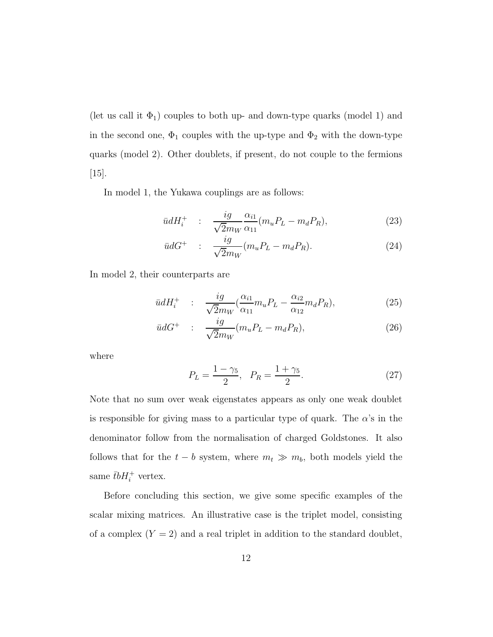(let us call it  $\Phi_1$ ) couples to both up- and down-type quarks (model 1) and in the second one,  $\Phi_1$  couples with the up-type and  $\Phi_2$  with the down-type quarks (model 2). Other doublets, if present, do not couple to the fermions  $[15]$ .

In model 1, the Yukawa couplings are as follows:

$$
\bar{u}dH_i^+ \quad : \quad \frac{ig}{\sqrt{2}m_W} \frac{\alpha_{i1}}{\alpha_{11}} (m_u P_L - m_d P_R), \tag{23}
$$

$$
\bar{u}dG^+ \quad : \quad \frac{ig}{\sqrt{2}m_W}(m_u P_L - m_d P_R). \tag{24}
$$

In model 2, their counterparts are

$$
\bar{u}dH_i^+ \quad : \quad \frac{ig}{\sqrt{2}m_W}(\frac{\alpha_{i1}}{\alpha_{11}}m_u P_L - \frac{\alpha_{i2}}{\alpha_{12}}m_d P_R), \tag{25}
$$

$$
\bar{u}dG^+ \quad : \quad \frac{ig}{\sqrt{2}m_W}(m_u P_L - m_d P_R), \tag{26}
$$

where

$$
P_L = \frac{1 - \gamma_5}{2}, \quad P_R = \frac{1 + \gamma_5}{2}.
$$
 (27)

Note that no sum over weak eigenstates appears as only one weak doublet is responsible for giving mass to a particular type of quark. The  $\alpha$ 's in the denominator follow from the normalisation of charged Goldstones. It also follows that for the  $t - b$  system, where  $m_t \gg m_b$ , both models yield the same  $\bar{t}bH_i^+$  vertex.

Before concluding this section, we give some specific examples of the scalar mixing matrices. An illustrative case is the triplet model, consisting of a complex  $(Y = 2)$  and a real triplet in addition to the standard doublet,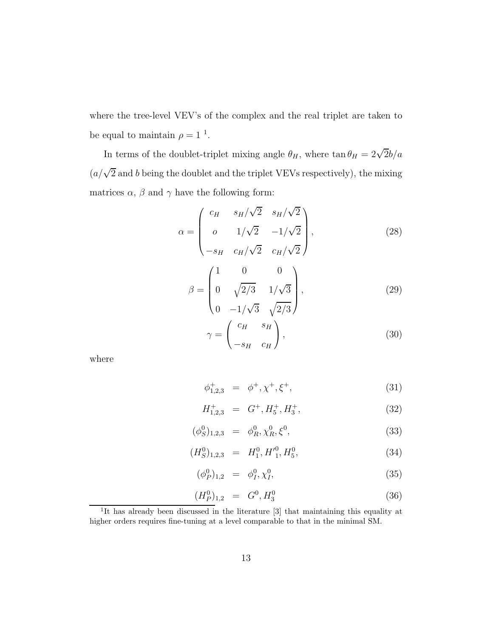where the tree-level VEV's of the complex and the real triplet are taken to be equal to maintain  $\rho = 1^{-1}$ .

In terms of the doublet-triplet mixing angle  $\theta_H$ , where  $\tan \theta_H = 2\sqrt{2}b/a$  $(a/\sqrt{2})$  and b being the doublet and the triplet VEVs respectively), the mixing matrices  $\alpha$ ,  $\beta$  and  $\gamma$  have the following form:

$$
\alpha = \begin{pmatrix} c_H & s_H/\sqrt{2} & s_H/\sqrt{2} \\ o & 1/\sqrt{2} & -1/\sqrt{2} \\ -s_H & c_H/\sqrt{2} & c_H/\sqrt{2} \end{pmatrix},
$$
(28)

$$
\beta = \begin{pmatrix} 1 & 0 & 0 \\ 0 & \sqrt{2/3} & 1/\sqrt{3} \\ 0 & -1/\sqrt{3} & \sqrt{2/3} \end{pmatrix},
$$
(29)

$$
\gamma = \begin{pmatrix} c_H & s_H \\ -s_H & c_H \end{pmatrix},\tag{30}
$$

where

$$
\phi_{1,2,3}^{+} = \phi^{+}, \chi^{+}, \xi^{+}, \tag{31}
$$

$$
H_{1,2,3}^{+} = G^{+}, H_{5}^{+}, H_{3}^{+}, \tag{32}
$$

$$
(\phi_S^0)_{1,2,3} = \phi_R^0, \chi_R^0, \xi^0,
$$
\n(33)

$$
(H_S^0)_{1,2,3} = H_1^0, H_1'^0, H_5^0,
$$
\n(34)

$$
(\phi_P^0)_{1,2} = \phi_I^0, \chi_I^0, \tag{35}
$$

$$
(H_P^0)_{1,2} = G^0, H_3^0 \tag{36}
$$

<sup>&</sup>lt;sup>1</sup>It has already been discussed in the literature [3] that maintaining this equality at higher orders requires fine-tuning at a level comparable to that in the minimal SM.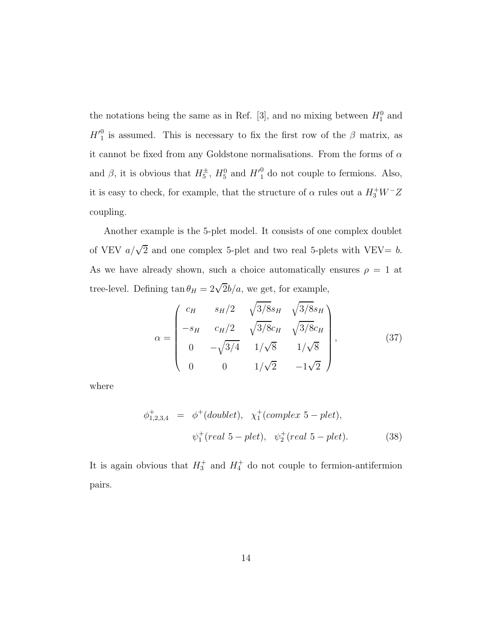the notations being the same as in Ref. [3], and no mixing between  $H_1^0$  and  $H_1^0$  is assumed. This is necessary to fix the first row of the  $\beta$  matrix, as it cannot be fixed from any Goldstone normalisations. From the forms of  $\alpha$ and  $\beta$ , it is obvious that  $H_5^{\pm}$ ,  $H_5^0$  and  $H_1^0$  do not couple to fermions. Also, it is easy to check, for example, that the structure of  $\alpha$  rules out a  $H_3^+W^-Z$ coupling.

Another example is the 5-plet model. It consists of one complex doublet of VEV  $a/\sqrt{2}$  and one complex 5-plet and two real 5-plets with VEV= b. As we have already shown, such a choice automatically ensures  $\rho = 1$  at tree-level. Defining  $\tan \theta_H = 2\sqrt{2}b/a$ , we get, for example,

$$
\alpha = \begin{pmatrix} c_H & s_H/2 & \sqrt{3/8} s_H & \sqrt{3/8} s_H \\ -s_H & c_H/2 & \sqrt{3/8} c_H & \sqrt{3/8} c_H \\ 0 & -\sqrt{3/4} & 1/\sqrt{8} & 1/\sqrt{8} \\ 0 & 0 & 1/\sqrt{2} & -1\sqrt{2} \end{pmatrix},
$$
(37)

where

$$
\phi_{1,2,3,4}^{+} = \phi^{+}(doublet), \quad \chi_{1}^{+}(complex\ 5-plet),
$$
  

$$
\psi_{1}^{+}(real\ 5-plet), \quad \psi_{2}^{+}(real\ 5-plet).
$$
 (38)

It is again obvious that  $H_3^+$  and  $H_4^+$  do not couple to fermion-antifermion pairs.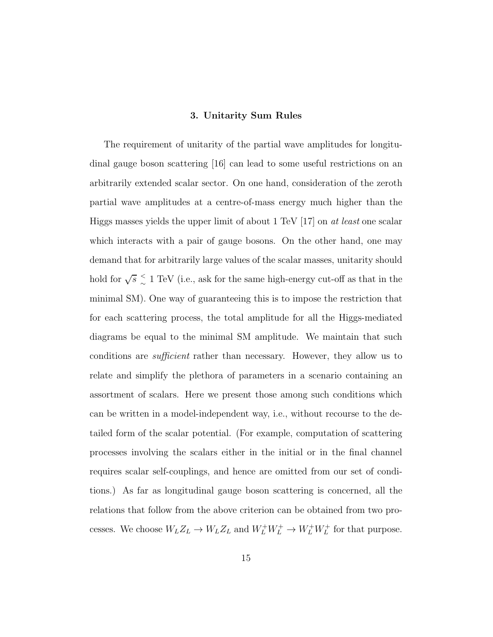#### 3. Unitarity Sum Rules

The requirement of unitarity of the partial wave amplitudes for longitudinal gauge boson scattering [16] can lead to some useful restrictions on an arbitrarily extended scalar sector. On one hand, consideration of the zeroth partial wave amplitudes at a centre-of-mass energy much higher than the Higgs masses yields the upper limit of about 1 TeV  $[17]$  on *at least* one scalar which interacts with a pair of gauge bosons. On the other hand, one may demand that for arbitrarily large values of the scalar masses, unitarity should hold for  $\sqrt{s} \leq$  $\lesssim$  1 TeV (i.e., ask for the same high-energy cut-off as that in the minimal SM). One way of guaranteeing this is to impose the restriction that for each scattering process, the total amplitude for all the Higgs-mediated diagrams be equal to the minimal SM amplitude. We maintain that such conditions are sufficient rather than necessary. However, they allow us to relate and simplify the plethora of parameters in a scenario containing an assortment of scalars. Here we present those among such conditions which can be written in a model-independent way, i.e., without recourse to the detailed form of the scalar potential. (For example, computation of scattering processes involving the scalars either in the initial or in the final channel requires scalar self-couplings, and hence are omitted from our set of conditions.) As far as longitudinal gauge boson scattering is concerned, all the relations that follow from the above criterion can be obtained from two processes. We choose  $W_L Z_L \to W_L Z_L$  and  $W_L^+ W_L^+ \to W_L^+ W_L^+$  for that purpose.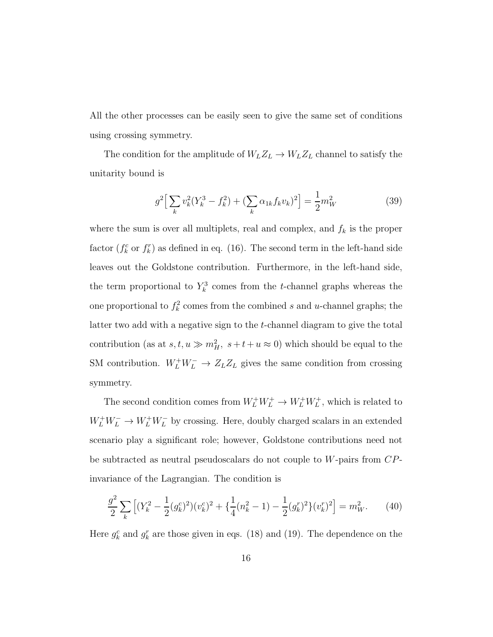All the other processes can be easily seen to give the same set of conditions using crossing symmetry.

The condition for the amplitude of  $W_L Z_L \rightarrow W_L Z_L$  channel to satisfy the unitarity bound is

$$
g^2 \Big[ \sum_k v_k^2 (Y_k^3 - f_k^2) + (\sum_k \alpha_{1k} f_k v_k)^2 \Big] = \frac{1}{2} m_W^2 \tag{39}
$$

where the sum is over all multiplets, real and complex, and  $f_k$  is the proper factor  $(f_k^c$  or  $f_k^r$ ) as defined in eq. (16). The second term in the left-hand side leaves out the Goldstone contribution. Furthermore, in the left-hand side, the term proportional to  $Y_k^3$  comes from the t-channel graphs whereas the one proportional to  $f_k^2$  comes from the combined s and u-channel graphs; the latter two add with a negative sign to the t-channel diagram to give the total contribution (as at  $s, t, u \gg m_H^2$ ,  $s + t + u \approx 0$ ) which should be equal to the SM contribution.  $W_L^+ W_L^- \to Z_L Z_L$  gives the same condition from crossing symmetry.

The second condition comes from  $W_L^+W_L^+ \to W_L^+W_L^+$ , which is related to  $W^+_L W^-^- \to W^+_L W^-_L$  by crossing. Here, doubly charged scalars in an extended scenario play a significant role; however, Goldstone contributions need not be subtracted as neutral pseudoscalars do not couple to  $W$ -pairs from  $CP$ invariance of the Lagrangian. The condition is

$$
\frac{g^2}{2} \sum_{k} \left[ (Y_k^2 - \frac{1}{2} (g_k^c)^2) (v_k^c)^2 + \left\{ \frac{1}{4} (n_k^2 - 1) - \frac{1}{2} (g_k^r)^2 \right\} (v_k^r)^2 \right] = m_W^2. \tag{40}
$$

Here  $g_k^c$  and  $g_k^r$  are those given in eqs. (18) and (19). The dependence on the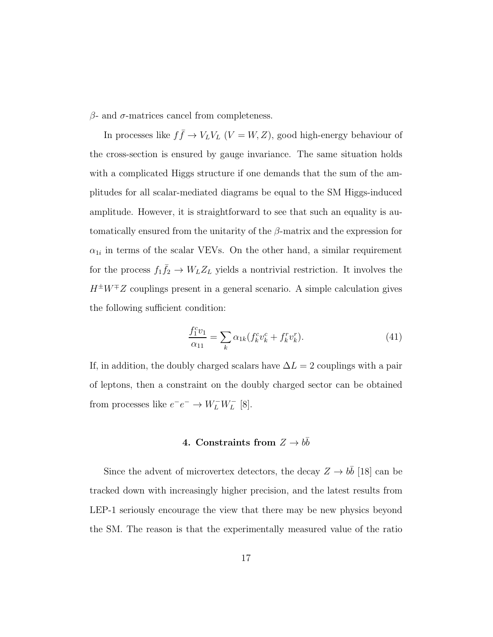$β$ - and  $σ$ -matrices cancel from completeness.

In processes like  $f\bar{f} \to V_LV_L$   $(V = W, Z)$ , good high-energy behaviour of the cross-section is ensured by gauge invariance. The same situation holds with a complicated Higgs structure if one demands that the sum of the amplitudes for all scalar-mediated diagrams be equal to the SM Higgs-induced amplitude. However, it is straightforward to see that such an equality is automatically ensured from the unitarity of the  $\beta$ -matrix and the expression for  $\alpha_{1i}$  in terms of the scalar VEVs. On the other hand, a similar requirement for the process  $f_1 \bar{f}_2 \rightarrow W_L Z_L$  yields a nontrivial restriction. It involves the  $H^{\pm}W^{\mp}Z$  couplings present in a general scenario. A simple calculation gives the following sufficient condition:

$$
\frac{f_1^c v_1}{\alpha_{11}} = \sum_k \alpha_{1k} (f_k^c v_k^c + f_k^r v_k^r).
$$
\n(41)

If, in addition, the doubly charged scalars have  $\Delta L = 2$  couplings with a pair of leptons, then a constraint on the doubly charged sector can be obtained from processes like  $e^-e^- \to W_L^-W_L^-$  [8].

## 4. Constraints from  $Z \to b\bar{b}$

Since the advent of microvertex detectors, the decay  $Z \to b\bar{b}$  [18] can be tracked down with increasingly higher precision, and the latest results from LEP-1 seriously encourage the view that there may be new physics beyond the SM. The reason is that the experimentally measured value of the ratio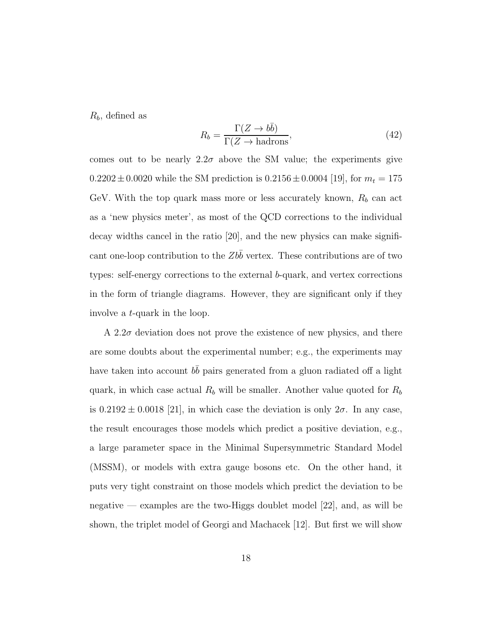$R_b$ , defined as

$$
R_b = \frac{\Gamma(Z \to b\bar{b})}{\Gamma(Z \to \text{hadrons})},\tag{42}
$$

comes out to be nearly  $2.2\sigma$  above the SM value; the experiments give  $0.2202 \pm 0.0020$  while the SM prediction is  $0.2156 \pm 0.0004$  [19], for  $m_t = 175$ GeV. With the top quark mass more or less accurately known,  $R_b$  can act as a 'new physics meter', as most of the QCD corrections to the individual decay widths cancel in the ratio [20], and the new physics can make significant one-loop contribution to the  $Zb\bar{b}$  vertex. These contributions are of two types: self-energy corrections to the external b-quark, and vertex corrections in the form of triangle diagrams. However, they are significant only if they involve a t-quark in the loop.

A 2.2 $\sigma$  deviation does not prove the existence of new physics, and there are some doubts about the experimental number; e.g., the experiments may have taken into account  $b\bar{b}$  pairs generated from a gluon radiated off a light quark, in which case actual  $R_b$  will be smaller. Another value quoted for  $R_b$ is  $0.2192 \pm 0.0018$  [21], in which case the deviation is only  $2\sigma$ . In any case, the result encourages those models which predict a positive deviation, e.g., a large parameter space in the Minimal Supersymmetric Standard Model (MSSM), or models with extra gauge bosons etc. On the other hand, it puts very tight constraint on those models which predict the deviation to be negative — examples are the two-Higgs doublet model [22], and, as will be shown, the triplet model of Georgi and Machacek [12]. But first we will show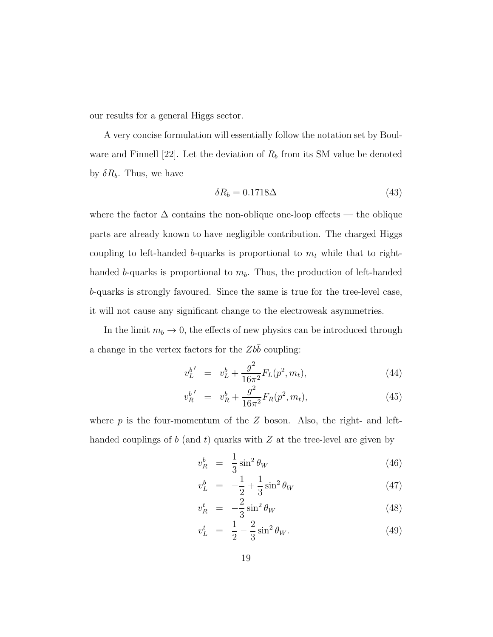our results for a general Higgs sector.

A very concise formulation will essentially follow the notation set by Boulware and Finnell [22]. Let the deviation of  $R_b$  from its SM value be denoted by  $\delta R_b$ . Thus, we have

$$
\delta R_b = 0.1718 \Delta \tag{43}
$$

where the factor  $\Delta$  contains the non-oblique one-loop effects — the oblique parts are already known to have negligible contribution. The charged Higgs coupling to left-handed b-quarks is proportional to  $m_t$  while that to righthanded b-quarks is proportional to  $m_b$ . Thus, the production of left-handed b-quarks is strongly favoured. Since the same is true for the tree-level case, it will not cause any significant change to the electroweak asymmetries.

In the limit  $m_b \to 0$ , the effects of new physics can be introduced through a change in the vertex factors for the  $Zb\overline{b}$  coupling:

$$
v_L^{b'} = v_L^b + \frac{g^2}{16\pi^2} F_L(p^2, m_t), \tag{44}
$$

$$
v_R^{b'} = v_R^b + \frac{g^2}{16\pi^2} F_R(p^2, m_t), \tag{45}
$$

where  $p$  is the four-momentum of the  $Z$  boson. Also, the right- and lefthanded couplings of b (and t) quarks with  $Z$  at the tree-level are given by

$$
v_R^b = \frac{1}{3}\sin^2\theta_W \tag{46}
$$

$$
v_L^b = -\frac{1}{2} + \frac{1}{3}\sin^2\theta_W \tag{47}
$$

$$
v_R^t = -\frac{2}{3}\sin^2\theta_W \tag{48}
$$

$$
v_L^t = \frac{1}{2} - \frac{2}{3}\sin^2\theta_W.
$$
 (49)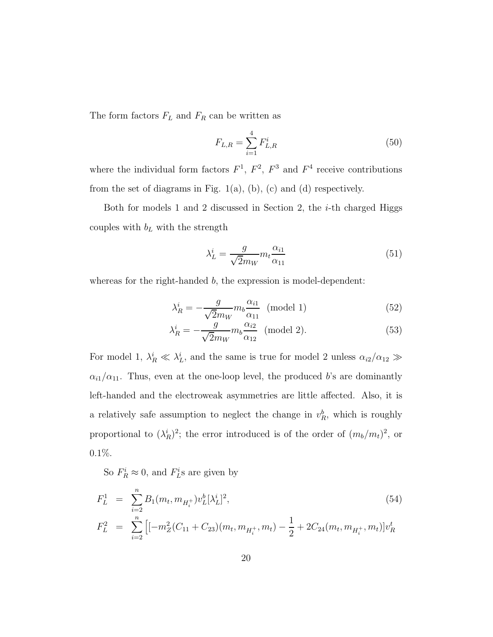The form factors  $F_L$  and  $F_R$  can be written as

$$
F_{L,R} = \sum_{i=1}^{4} F_{L,R}^i
$$
 (50)

where the individual form factors  $F^1$ ,  $F^2$ ,  $F^3$  and  $F^4$  receive contributions from the set of diagrams in Fig.  $1(a)$ ,  $(b)$ ,  $(c)$  and  $(d)$  respectively.

Both for models 1 and 2 discussed in Section 2, the  $i$ -th charged Higgs couples with  $b_L$  with the strength

$$
\lambda_L^i = \frac{g}{\sqrt{2}m_W} m_t \frac{\alpha_{i1}}{\alpha_{11}} \tag{51}
$$

whereas for the right-handed b, the expression is model-dependent:

$$
\lambda_R^i = -\frac{g}{\sqrt{2}m_W} m_b \frac{\alpha_{i1}}{\alpha_{11}} \text{ (model 1)}
$$
 (52)

$$
\lambda_R^i = -\frac{g}{\sqrt{2}m_W} m_b \frac{\alpha_{i2}}{\alpha_{12}} \text{ (model 2).}
$$
 (53)

For model 1,  $\lambda_R^i \ll \lambda_L^i$ , and the same is true for model 2 unless  $\alpha_{i2}/\alpha_{12} \gg$  $\alpha_{i1}/\alpha_{11}$ . Thus, even at the one-loop level, the produced b's are dominantly left-handed and the electroweak asymmetries are little affected. Also, it is a relatively safe assumption to neglect the change in  $v_R^b$ , which is roughly proportional to  $(\lambda_R^i)^2$ ; the error introduced is of the order of  $(m_b/m_t)^2$ , or 0.1%.

So  $F_R^i \approx 0$ , and  $F_L^i$ s are given by

$$
F_L^1 = \sum_{i=2}^n B_1(m_t, m_{H_i^+}) v_L^b [\lambda_L^i]^2,
$$
\n
$$
F_L^2 = \sum_{i=2}^n \left[ [-m_Z^2(C_{11} + C_{23})(m_t, m_{H_i^+}, m_t) - \frac{1}{2} + 2C_{24}(m_t, m_{H_i^+}, m_t)] v_R^t \right]
$$
\n(54)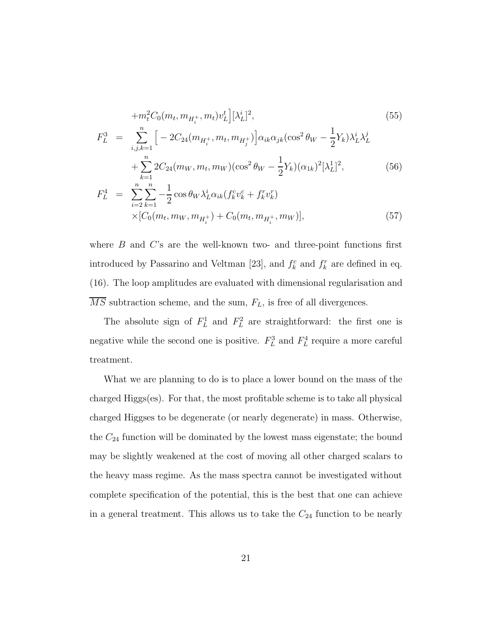$$
+m_t^2 C_0(m_t, m_{H_t^+}, m_t) v_L^t \Big] [\lambda_L^i]^2,
$$
\n
$$
F_L^3 = \sum_{i,j,k=1}^n \Big[ -2C_{24}(m_{H_t^+}, m_t, m_{H_j^+}) \Big] \alpha_{ik} \alpha_{jk} (\cos^2 \theta_W - \frac{1}{2} Y_k) \lambda_L^i \lambda_L^j
$$
\n
$$
+ \sum_{k=1}^n 2C_{24}(m_W, m_t, m_W) (\cos^2 \theta_W - \frac{1}{2} Y_k) (\alpha_{1k})^2 [\lambda_L^1]^2,
$$
\n(56)

$$
F_L^4 = \sum_{i=2}^n \sum_{k=1}^n -\frac{1}{2} \cos \theta_W \lambda_L^i \alpha_{ik} (f_k^c v_k^c + f_k^r v_k^r)
$$
  
 
$$
\times [C_0(m_t, m_W, m_{H_t^+}) + C_0(m_t, m_{H_t^+}, m_W)], \qquad (57)
$$

where  $B$  and  $C$ 's are the well-known two- and three-point functions first introduced by Passarino and Veltman [23], and  $f_k^c$  and  $f_k^r$  are defined in eq. (16). The loop amplitudes are evaluated with dimensional regularisation and  $\overline{MS}$  subtraction scheme, and the sum,  $F_L$ , is free of all divergences.

The absolute sign of  $F_L^1$  and  $F_L^2$  are straightforward: the first one is negative while the second one is positive.  $F_L^3$  and  $F_L^4$  require a more careful treatment.

What we are planning to do is to place a lower bound on the mass of the charged Higgs(es). For that, the most profitable scheme is to take all physical charged Higgses to be degenerate (or nearly degenerate) in mass. Otherwise, the  $C_{24}$  function will be dominated by the lowest mass eigenstate; the bound may be slightly weakened at the cost of moving all other charged scalars to the heavy mass regime. As the mass spectra cannot be investigated without complete specification of the potential, this is the best that one can achieve in a general treatment. This allows us to take the  $C_{24}$  function to be nearly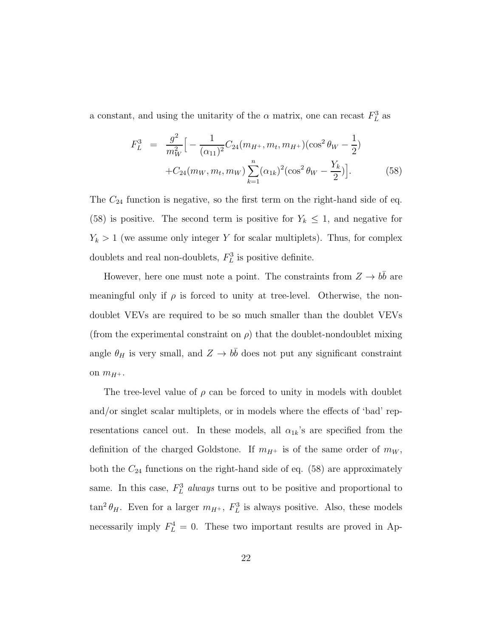a constant, and using the unitarity of the  $\alpha$  matrix, one can recast  $F_L^3$  as

$$
F_L^3 = \frac{g^2}{m_W^2} \Big[ -\frac{1}{(\alpha_{11})^2} C_{24}(m_{H^+}, m_t, m_{H^+}) (\cos^2 \theta_W - \frac{1}{2}) + C_{24}(m_W, m_t, m_W) \sum_{k=1}^n (\alpha_{1k})^2 (\cos^2 \theta_W - \frac{Y_k}{2}) \Big].
$$
 (58)

The  $C_{24}$  function is negative, so the first term on the right-hand side of eq. (58) is positive. The second term is positive for  $Y_k \leq 1$ , and negative for  $Y_k > 1$  (we assume only integer Y for scalar multiplets). Thus, for complex doublets and real non-doublets,  $F_L^3$  is positive definite.

However, here one must note a point. The constraints from  $Z \to b\bar{b}$  are meaningful only if  $\rho$  is forced to unity at tree-level. Otherwise, the nondoublet VEVs are required to be so much smaller than the doublet VEVs (from the experimental constraint on  $\rho$ ) that the doublet-nondoublet mixing angle  $\theta_H$  is very small, and  $Z \to b\bar{b}$  does not put any significant constraint on  $m_{H^+}$ .

The tree-level value of  $\rho$  can be forced to unity in models with doublet and/or singlet scalar multiplets, or in models where the effects of 'bad' representations cancel out. In these models, all  $\alpha_{1k}$ 's are specified from the definition of the charged Goldstone. If  $m_{H^+}$  is of the same order of  $m_W$ , both the  $C_{24}$  functions on the right-hand side of eq. (58) are approximately same. In this case,  $F_L^3$  always turns out to be positive and proportional to  $\tan^2 \theta_H$ . Even for a larger  $m_{H^+}$ ,  $F_L^3$  is always positive. Also, these models necessarily imply  $F_L^4 = 0$ . These two important results are proved in Ap-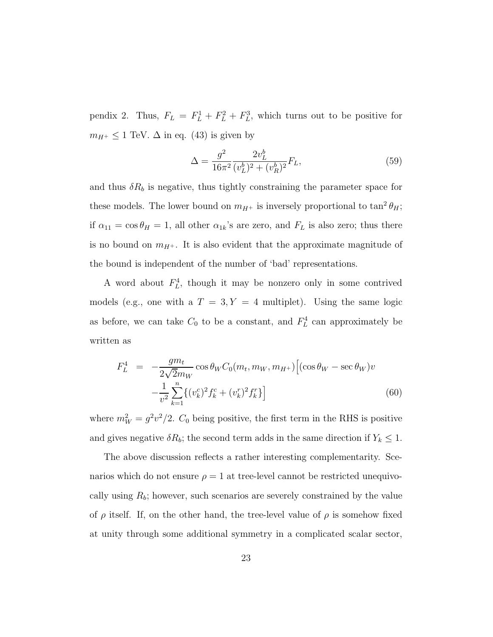pendix 2. Thus,  $F_L = F_L^1 + F_L^2 + F_L^3$ , which turns out to be positive for  $m_{H^+} \leq 1$  TeV.  $\Delta$  in eq. (43) is given by

$$
\Delta = \frac{g^2}{16\pi^2} \frac{2v_L^b}{(v_L^b)^2 + (v_R^b)^2} F_L,\tag{59}
$$

and thus  $\delta R_b$  is negative, thus tightly constraining the parameter space for these models. The lower bound on  $m_{H^+}$  is inversely proportional to  $\tan^2 \theta_H$ ; if  $\alpha_{11} = \cos \theta_H = 1$ , all other  $\alpha_{1k}$ 's are zero, and  $F_L$  is also zero; thus there is no bound on  $m_{H^+}$ . It is also evident that the approximate magnitude of the bound is independent of the number of 'bad' representations.

A word about  $F_L^4$ , though it may be nonzero only in some contrived models (e.g., one with a  $T = 3, Y = 4$  multiplet). Using the same logic as before, we can take  $C_0$  to be a constant, and  $F_L^4$  can approximately be written as

$$
F_L^4 = -\frac{gm_t}{2\sqrt{2}m_W} \cos \theta_W C_0(m_t, m_W, m_{H^+}) \Big[ (\cos \theta_W - \sec \theta_W) v - \frac{1}{v^2} \sum_{k=1}^n \{ (v_k^c)^2 f_k^c + (v_k^r)^2 f_k^r \} \Big] \tag{60}
$$

where  $m_W^2 = g^2 v^2 / 2$ .  $C_0$  being positive, the first term in the RHS is positive and gives negative  $\delta R_b$ ; the second term adds in the same direction if  $Y_k \leq 1$ .

The above discussion reflects a rather interesting complementarity. Scenarios which do not ensure  $\rho = 1$  at tree-level cannot be restricted unequivocally using  $R_b$ ; however, such scenarios are severely constrained by the value of  $\rho$  itself. If, on the other hand, the tree-level value of  $\rho$  is somehow fixed at unity through some additional symmetry in a complicated scalar sector,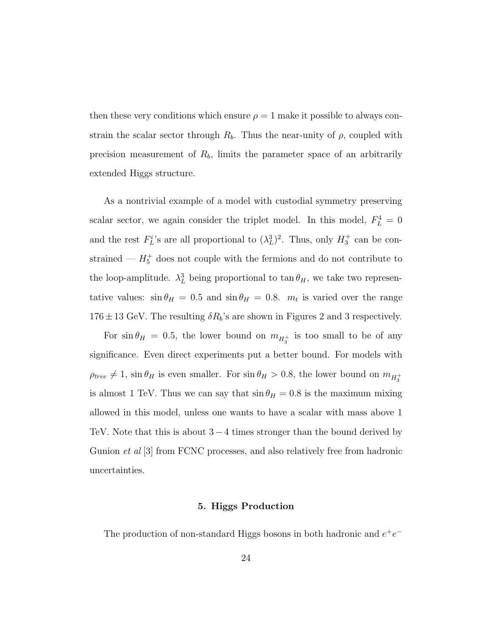then these very conditions which ensure  $\rho = 1$  make it possible to always constrain the scalar sector through  $R_b$ . Thus the near-unity of  $\rho$ , coupled with precision measurement of  $R_b$ , limits the parameter space of an arbitrarily extended Higgs structure.

As a nontrivial example of a model with custodial symmetry preserving scalar sector, we again consider the triplet model. In this model,  $F_L^4 = 0$ and the rest  $F_L^i$ 's are all proportional to  $(\lambda_L^3)^2$ . Thus, only  $H_3^+$  can be constrained —  $H_5^+$  does not couple with the fermions and do not contribute to the loop-amplitude.  $\lambda_L^3$  being proportional to  $\tan \theta_H$ , we take two representative values:  $\sin \theta_H = 0.5$  and  $\sin \theta_H = 0.8$ .  $m_t$  is varied over the range  $176 \pm 13$  GeV. The resulting  $\delta R_b$ 's are shown in Figures 2 and 3 respectively.

For  $\sin \theta_H = 0.5$ , the lower bound on  $m_{H_3^+}$  is too small to be of any significance. Even direct experiments put a better bound. For models with  $\rho_{tree} \neq 1$ , sin  $\theta_H$  is even smaller. For sin  $\theta_H > 0.8$ , the lower bound on  $m_{H_3^+}$ is almost 1 TeV. Thus we can say that  $\sin \theta_H = 0.8$  is the maximum mixing allowed in this model, unless one wants to have a scalar with mass above 1 TeV. Note that this is about  $3 - 4$  times stronger than the bound derived by Gunion *et al* [3] from FCNC processes, and also relatively free from hadronic uncertainties.

#### 5. Higgs Production

The production of non-standard Higgs bosons in both hadronic and  $e^+e^-$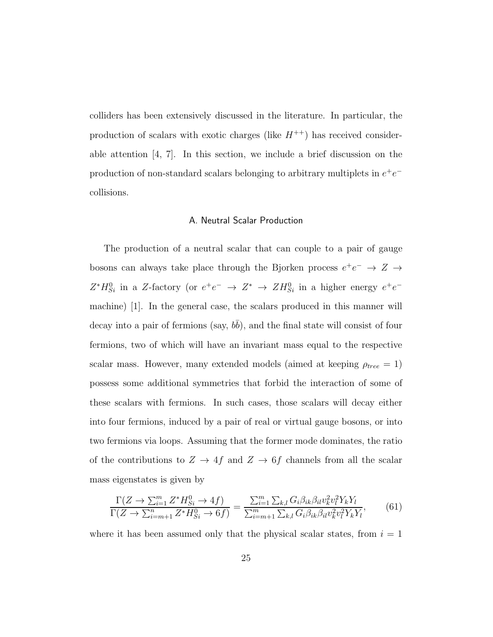colliders has been extensively discussed in the literature. In particular, the production of scalars with exotic charges (like  $H^{++}$ ) has received considerable attention [4, 7]. In this section, we include a brief discussion on the production of non-standard scalars belonging to arbitrary multiplets in  $e^+e^$ collisions.

#### A. Neutral Scalar Production

The production of a neutral scalar that can couple to a pair of gauge bosons can always take place through the Bjorken process  $e^+e^-\rightarrow Z\rightarrow$  $Z^*H_{Si}^0$  in a Z-factory (or  $e^+e^- \rightarrow Z^* \rightarrow ZH_{Si}^0$  in a higher energy  $e^+e^$ machine) [1]. In the general case, the scalars produced in this manner will decay into a pair of fermions (say,  $b\bar{b}$ ), and the final state will consist of four fermions, two of which will have an invariant mass equal to the respective scalar mass. However, many extended models (aimed at keeping  $\rho_{tree} = 1$ ) possess some additional symmetries that forbid the interaction of some of these scalars with fermions. In such cases, those scalars will decay either into four fermions, induced by a pair of real or virtual gauge bosons, or into two fermions via loops. Assuming that the former mode dominates, the ratio of the contributions to  $Z \rightarrow 4f$  and  $Z \rightarrow 6f$  channels from all the scalar mass eigenstates is given by

$$
\frac{\Gamma(Z \to \sum_{i=1}^{m} Z^* H_{Si}^0 \to 4f)}{\Gamma(Z \to \sum_{i=m+1}^{n} Z^* H_{Si}^0 \to 6f)} = \frac{\sum_{i=1}^{m} \sum_{k,l} G_i \beta_{ik} \beta_{il} v_k^2 v_l^2 Y_k Y_l}{\sum_{i=m+1}^{m} \sum_{k,l} G_i \beta_{ik} \beta_{il} v_k^2 v_l^2 Y_k Y_l},\tag{61}
$$

where it has been assumed only that the physical scalar states, from  $i = 1$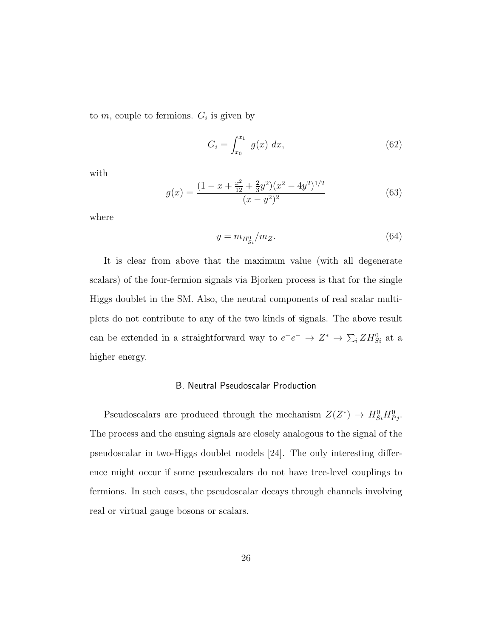to  $m$ , couple to fermions.  $G_i$  is given by

$$
G_i = \int_{x_0}^{x_1} g(x) \, dx,\tag{62}
$$

with

$$
g(x) = \frac{(1 - x + \frac{x^2}{12} + \frac{2}{3}y^2)(x^2 - 4y^2)^{1/2}}{(x - y^2)^2}
$$
(63)

where

$$
y = m_{H_{Si}^0}/m_Z. \tag{64}
$$

It is clear from above that the maximum value (with all degenerate scalars) of the four-fermion signals via Bjorken process is that for the single Higgs doublet in the SM. Also, the neutral components of real scalar multiplets do not contribute to any of the two kinds of signals. The above result can be extended in a straightforward way to  $e^+e^- \to Z^* \to \sum_i Z H_{Si}^0$  at a higher energy.

#### B. Neutral Pseudoscalar Production

Pseudoscalars are produced through the mechanism  $Z(Z^*) \to H_{Si}^0 H_{Pj}^0$ . The process and the ensuing signals are closely analogous to the signal of the pseudoscalar in two-Higgs doublet models [24]. The only interesting difference might occur if some pseudoscalars do not have tree-level couplings to fermions. In such cases, the pseudoscalar decays through channels involving real or virtual gauge bosons or scalars.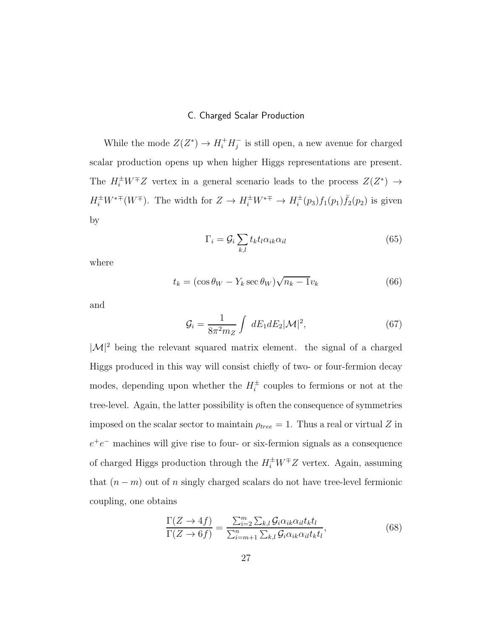#### C. Charged Scalar Production

While the mode  $Z(Z^*) \to H_i^+ H_j^-$  is still open, a new avenue for charged scalar production opens up when higher Higgs representations are present. The  $H_i^{\pm}W^{\mp}Z$  vertex in a general scenario leads to the process  $Z(Z^*) \rightarrow$  $H_i^{\pm}W^{*\mp}(W^{\mp})$ . The width for  $Z \to H_i^{\pm}W^{*\mp} \to H_i^{\pm}(p_3)f_1(p_1)\bar{f}_2(p_2)$  is given by

$$
\Gamma_i = \mathcal{G}_i \sum_{k,l} t_k t_l \alpha_{ik} \alpha_{il} \tag{65}
$$

where

$$
t_k = (\cos \theta_W - Y_k \sec \theta_W) \sqrt{n_k - 1} v_k \tag{66}
$$

and

$$
\mathcal{G}_i = \frac{1}{8\pi^2 m_Z} \int dE_1 dE_2 |\mathcal{M}|^2, \tag{67}
$$

 $|\mathcal{M}|^2$  being the relevant squared matrix element. the signal of a charged Higgs produced in this way will consist chiefly of two- or four-fermion decay modes, depending upon whether the  $H_i^{\pm}$  couples to fermions or not at the tree-level. Again, the latter possibility is often the consequence of symmetries imposed on the scalar sector to maintain  $\rho_{tree} = 1$ . Thus a real or virtual Z in  $e^+e^-$  machines will give rise to four- or six-fermion signals as a consequence of charged Higgs production through the  $H_i^{\pm}W^{\mp}Z$  vertex. Again, assuming that  $(n - m)$  out of n singly charged scalars do not have tree-level fermionic coupling, one obtains

$$
\frac{\Gamma(Z \to 4f)}{\Gamma(Z \to 6f)} = \frac{\sum_{i=2}^{m} \sum_{k,l} \mathcal{G}_i \alpha_{ik} \alpha_{il} t_k t_l}{\sum_{i=m+1}^{n} \sum_{k,l} \mathcal{G}_i \alpha_{ik} \alpha_{il} t_k t_l},
$$
\n(68)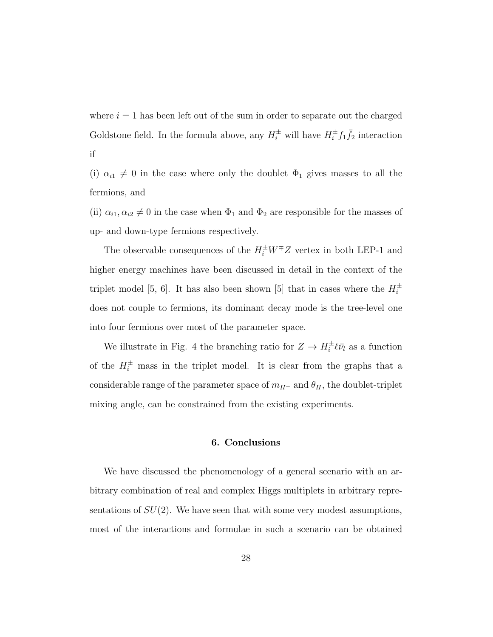where  $i = 1$  has been left out of the sum in order to separate out the charged Goldstone field. In the formula above, any  $H_i^{\pm}$  will have  $H_i^{\pm} f_1 \bar{f}_2$  interaction if

(i)  $\alpha_{i1} \neq 0$  in the case where only the doublet  $\Phi_1$  gives masses to all the fermions, and

(ii)  $\alpha_{i1}, \alpha_{i2} \neq 0$  in the case when  $\Phi_1$  and  $\Phi_2$  are responsible for the masses of up- and down-type fermions respectively.

The observable consequences of the  $H_i^{\pm}W^{\mp}Z$  vertex in both LEP-1 and higher energy machines have been discussed in detail in the context of the triplet model [5, 6]. It has also been shown [5] that in cases where the  $H_i^{\pm}$ does not couple to fermions, its dominant decay mode is the tree-level one into four fermions over most of the parameter space.

We illustrate in Fig. 4 the branching ratio for  $Z \to H_i^{\pm} \ell \bar{\nu}_l$  as a function of the  $H_i^{\pm}$  mass in the triplet model. It is clear from the graphs that a considerable range of the parameter space of  $m_{H^{+}}$  and  $\theta_{H},$  the doublet-triplet mixing angle, can be constrained from the existing experiments.

#### 6. Conclusions

We have discussed the phenomenology of a general scenario with an arbitrary combination of real and complex Higgs multiplets in arbitrary representations of  $SU(2)$ . We have seen that with some very modest assumptions, most of the interactions and formulae in such a scenario can be obtained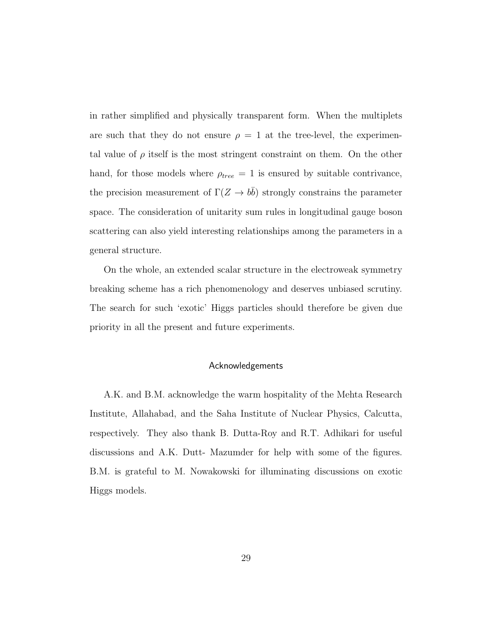in rather simplified and physically transparent form. When the multiplets are such that they do not ensure  $\rho = 1$  at the tree-level, the experimental value of  $\rho$  itself is the most stringent constraint on them. On the other hand, for those models where  $\rho_{tree} = 1$  is ensured by suitable contrivance, the precision measurement of  $\Gamma(Z \to b\bar{b})$  strongly constrains the parameter space. The consideration of unitarity sum rules in longitudinal gauge boson scattering can also yield interesting relationships among the parameters in a general structure.

On the whole, an extended scalar structure in the electroweak symmetry breaking scheme has a rich phenomenology and deserves unbiased scrutiny. The search for such 'exotic' Higgs particles should therefore be given due priority in all the present and future experiments.

#### Acknowledgements

A.K. and B.M. acknowledge the warm hospitality of the Mehta Research Institute, Allahabad, and the Saha Institute of Nuclear Physics, Calcutta, respectively. They also thank B. Dutta-Roy and R.T. Adhikari for useful discussions and A.K. Dutt- Mazumder for help with some of the figures. B.M. is grateful to M. Nowakowski for illuminating discussions on exotic Higgs models.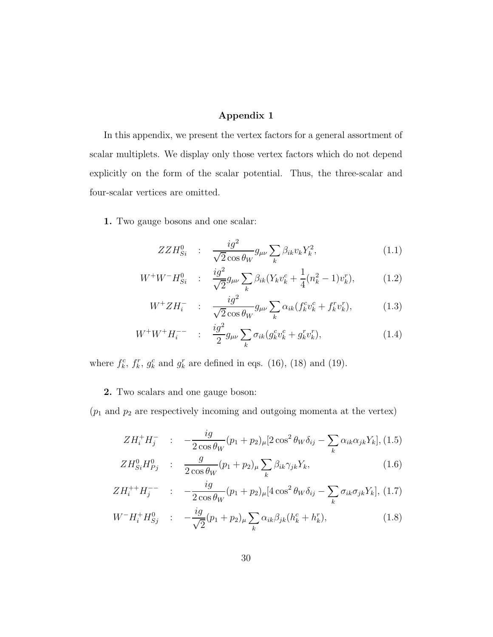#### Appendix 1

In this appendix, we present the vertex factors for a general assortment of scalar multiplets. We display only those vertex factors which do not depend explicitly on the form of the scalar potential. Thus, the three-scalar and four-scalar vertices are omitted.

1. Two gauge bosons and one scalar:

$$
ZZH_{Si}^0 \quad : \quad \frac{ig^2}{\sqrt{2}\cos\theta_W} g_{\mu\nu} \sum_k \beta_{ik} v_k Y_k^2, \tag{1.1}
$$

$$
W^+W^-H_{Si}^0 \quad : \quad \frac{ig^2}{\sqrt{2}}g_{\mu\nu}\sum_k \beta_{ik}(Y_kv_k^c + \frac{1}{4}(n_k^2 - 1)v_k^r), \tag{1.2}
$$

$$
W^{+} Z H_{i}^{-} : \frac{i g^{2}}{\sqrt{2} \cos \theta_{W}} g_{\mu\nu} \sum_{k} \alpha_{ik} (f_{k}^{c} v_{k}^{c} + f_{k}^{r} v_{k}^{r}), \qquad (1.3)
$$

$$
W^{+}W^{+}H_{i}^{-} \qquad : \quad \frac{ig^{2}}{2}g_{\mu\nu}\sum_{k}\sigma_{ik}(g_{k}^{c}v_{k}^{c}+g_{k}^{r}v_{k}^{r}), \tag{1.4}
$$

where  $f_k^c$ ,  $f_k^r$ ,  $g_k^c$  and  $g_k^r$  are defined in eqs. (16), (18) and (19).

#### 2. Two scalars and one gauge boson:

 $\left(p_{1} \text{ and } p_{2} \text{ are respectively incoming and outgoing momenta at the vertex}\right)$ 

$$
ZH_i^+H_j^- \quad : \quad -\frac{ig}{2\cos\theta_W}(p_1+p_2)_{\mu}[2\cos^2\theta_W\delta_{ij}-\sum_k\alpha_{ik}\alpha_{jk}Y_k],
$$
 (1.5)

$$
ZH_{Si}^0H_{Pj}^0 : \frac{g}{2\cos\theta_W}(p_1+p_2)_{\mu}\sum_{k}\beta_{ik}\gamma_{jk}Y_k,\tag{1.6}
$$

$$
ZH_i^{++}H_j^{--} \quad : \quad -\frac{ig}{2\cos\theta_W}(p_1+p_2)_{\mu}[4\cos^2\theta_W\delta_{ij}-\sum_k\sigma_{ik}\sigma_{jk}Y_k],\,(1.7)
$$

$$
W^{-}H_{i}^{+}H_{Sj}^{0} \quad : \quad -\frac{ig}{\sqrt{2}}(p_{1}+p_{2})_{\mu}\sum_{k}\alpha_{ik}\beta_{jk}(h_{k}^{c}+h_{k}^{r}), \tag{1.8}
$$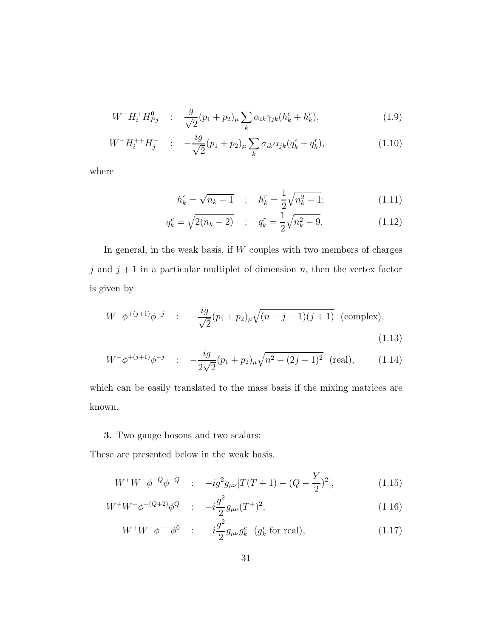$$
W^{-}H_i^{+}H_{Pj}^0 \quad : \quad \frac{g}{\sqrt{2}}(p_1+p_2)_{\mu} \sum_{k} \alpha_{ik} \gamma_{jk} (h_k^c + h_k^r), \tag{1.9}
$$

$$
W^{-}H_{i}^{++}H_{j}^{-} \t:= -\frac{ig}{\sqrt{2}}(p_{1}+p_{2})_{\mu} \sum_{k} \sigma_{ik} \alpha_{jk} (q_{k}^{c}+q_{k}^{r}), \t\t(1.10)
$$

where

$$
h_k^c = \sqrt{n_k - 1} \quad ; \quad h_k^r = \frac{1}{2}\sqrt{n_k^2 - 1}; \tag{1.11}
$$

$$
q_k^c = \sqrt{2(n_k - 2)} \quad ; \quad q_k^r = \frac{1}{2}\sqrt{n_k^2 - 9}.\tag{1.12}
$$

In general, in the weak basis, if  $W$  couples with two members of charges j and  $j + 1$  in a particular multiplet of dimension n, then the vertex factor is given by

$$
W^{-}\phi^{+(j+1)}\phi^{-j} \quad : \quad -\frac{ig}{\sqrt{2}}(p_1+p_2)_{\mu}\sqrt{(n-j-1)(j+1)} \quad \text{(complex)},
$$
\n(1.13)

$$
W^{-}\phi^{+(j+1)}\phi^{-j} \quad : \quad -\frac{ig}{2\sqrt{2}}(p_1+p_2)_{\mu}\sqrt{n^2-(2j+1)^2} \quad \text{(real)},\tag{1.14}
$$

which can be easily translated to the mass basis if the mixing matrices are known.

#### 3. Two gauge bosons and two scalars:

These are presented below in the weak basis.

$$
W^{+}W^{-}\phi^{+Q}\phi^{-Q} \quad : \quad -ig^{2}g_{\mu\nu}[T(T+1) - (Q - \frac{Y}{2})^{2}], \tag{1.15}
$$

$$
W^+W^+\phi^{-(Q+2)}\phi^Q \quad : \quad -i\frac{g^2}{2}g_{\mu\nu}(T^+)^2,\tag{1.16}
$$

$$
W^{+}W^{+}\phi^{-} \phi^{0} \quad : \quad -i\frac{g^{2}}{2}g_{\mu\nu}g_{k}^{c} \quad (g_{k}^{r} \text{ for real}), \tag{1.17}
$$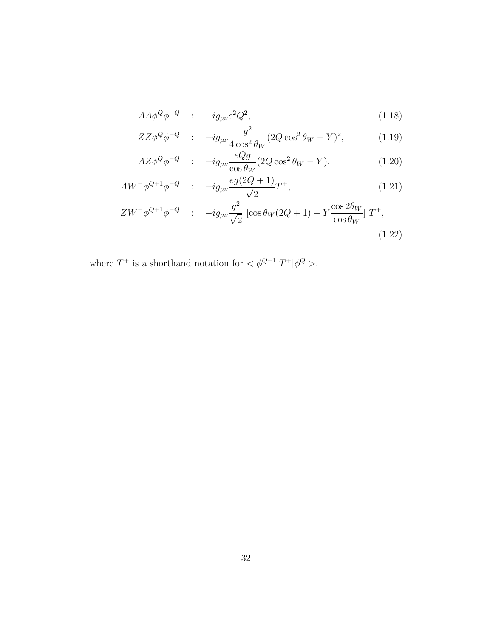$$
AA\phi^Q\phi^{-Q} \quad : \quad -ig_{\mu\nu}e^2Q^2,\tag{1.18}
$$

$$
ZZ\phi^{Q}\phi^{-Q} \quad : \quad -ig_{\mu\nu}\frac{g^{2}}{4\cos^{2}\theta_{W}}(2Q\cos^{2}\theta_{W}-Y)^{2}, \tag{1.19}
$$

$$
AZ\phi^{Q}\phi^{-Q} \quad : \quad -ig_{\mu\nu}\frac{eQg}{\cos\theta_{W}}(2Q\cos^{2}\theta_{W}-Y), \tag{1.20}
$$

$$
AW^{-}\phi^{Q+1}\phi^{-Q} \quad : \quad -ig_{\mu\nu}\frac{eg(2Q+1)}{\sqrt{2}}T^{+},\tag{1.21}
$$

$$
ZW^{-}\phi^{Q+1}\phi^{-Q} \quad : \quad -ig_{\mu\nu}\frac{g^{2}}{\sqrt{2}}\left[\cos\theta_{W}(2Q+1) + Y\frac{\cos 2\theta_{W}}{\cos\theta_{W}}\right]T^{+},\tag{1.22}
$$

where  $T^+$  is a shorthand notation for  $\langle \phi^{Q+1} | T^+ | \phi^Q \rangle$ .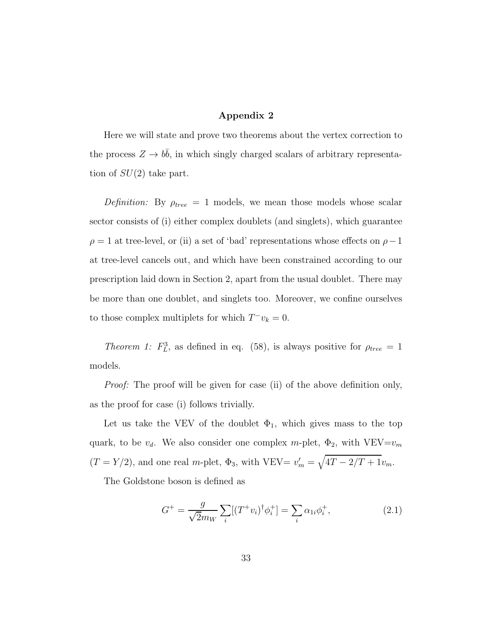#### Appendix 2

Here we will state and prove two theorems about the vertex correction to the process  $Z \to b\bar{b}$ , in which singly charged scalars of arbitrary representation of  $SU(2)$  take part.

Definition: By  $\rho_{tree} = 1$  models, we mean those models whose scalar sector consists of (i) either complex doublets (and singlets), which guarantee  $\rho = 1$  at tree-level, or (ii) a set of 'bad' representations whose effects on  $\rho - 1$ at tree-level cancels out, and which have been constrained according to our prescription laid down in Section 2, apart from the usual doublet. There may be more than one doublet, and singlets too. Moreover, we confine ourselves to those complex multiplets for which  $T^-v_k = 0$ .

Theorem 1:  $F_L^3$ , as defined in eq. (58), is always positive for  $\rho_{tree} = 1$ models.

Proof: The proof will be given for case (ii) of the above definition only, as the proof for case (i) follows trivially.

Let us take the VEV of the doublet  $\Phi_1$ , which gives mass to the top quark, to be  $v_d$ . We also consider one complex m-plet,  $\Phi_2$ , with VEV= $v_m$  $(T = Y/2)$ , and one real m-plet,  $\Phi_3$ , with VEV=  $v'_m = \sqrt{4T - 2/T + 1}v_m$ .

The Goldstone boson is defined as

$$
G^{+} = \frac{g}{\sqrt{2}m_{W}} \sum_{i} [(T^{+}v_{i})^{\dagger} \phi_{i}^{+}] = \sum_{i} \alpha_{1i} \phi_{i}^{+}, \qquad (2.1)
$$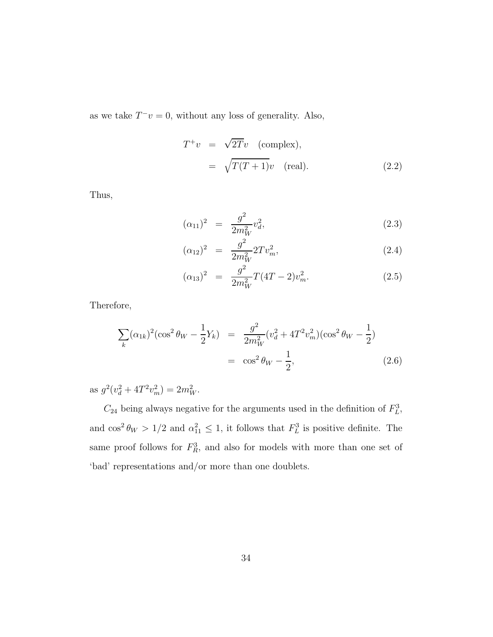as we take  $T^-v = 0$ , without any loss of generality. Also,

$$
T^{+}v = \sqrt{2T}v \quad \text{(complex)},
$$
  
=  $\sqrt{T(T+1)}v \quad \text{(real)}.$  (2.2)

Thus,

$$
(\alpha_{11})^2 = \frac{g^2}{2m_W^2} v_d^2, \tag{2.3}
$$

$$
(\alpha_{12})^2 = \frac{g^2}{2m_W^2} 2T v_m^2, \qquad (2.4)
$$

$$
(\alpha_{13})^2 = \frac{g^2}{2m_W^2} T(4T - 2)v_m^2.
$$
 (2.5)

Therefore,

$$
\sum_{k} (\alpha_{1k})^2 (\cos^2 \theta_W - \frac{1}{2} Y_k) = \frac{g^2}{2m_W^2} (v_d^2 + 4T^2 v_m^2) (\cos^2 \theta_W - \frac{1}{2})
$$
  
=  $\cos^2 \theta_W - \frac{1}{2}$ , (2.6)

as  $g^2(v_d^2 + 4T^2v_m^2) = 2m_W^2$ .

 $C_{24}$  being always negative for the arguments used in the definition of  $F_L^3$ , and  $\cos^2 \theta_W > 1/2$  and  $\alpha_{11}^2 \leq 1$ , it follows that  $F_L^3$  is positive definite. The same proof follows for  $F_R^3$ , and also for models with more than one set of 'bad' representations and/or more than one doublets.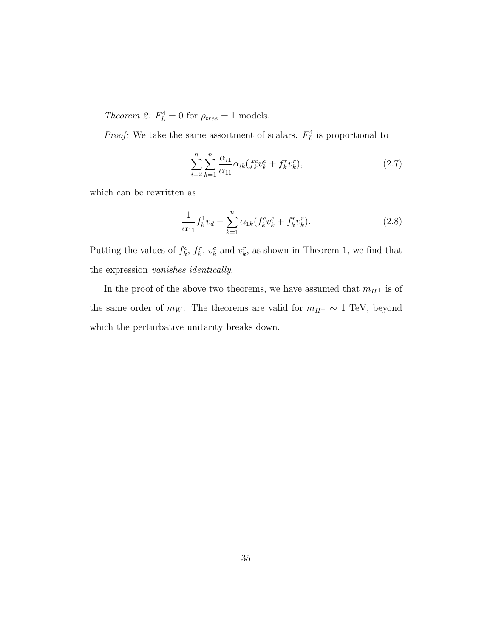Theorem 2:  $F_L^4 = 0$  for  $\rho_{tree} = 1$  models.

*Proof:* We take the same assortment of scalars.  $F_L^4$  is proportional to

$$
\sum_{i=2}^{n} \sum_{k=1}^{n} \frac{\alpha_{i1}}{\alpha_{11}} \alpha_{ik} (f_k^c v_k^c + f_k^r v_k^r), \tag{2.7}
$$

which can be rewritten as

$$
\frac{1}{\alpha_{11}} f_k^1 v_d - \sum_{k=1}^n \alpha_{1k} (f_k^c v_k^c + f_k^r v_k^r).
$$
 (2.8)

Putting the values of  $f_k^c$ ,  $f_k^r$ ,  $v_k^c$  and  $v_k^r$ , as shown in Theorem 1, we find that the expression vanishes identically.

In the proof of the above two theorems, we have assumed that  $m_{H^+}$  is of the same order of  $m_W$ . The theorems are valid for  $m_{H^+} \sim 1$  TeV, beyond which the perturbative unitarity breaks down.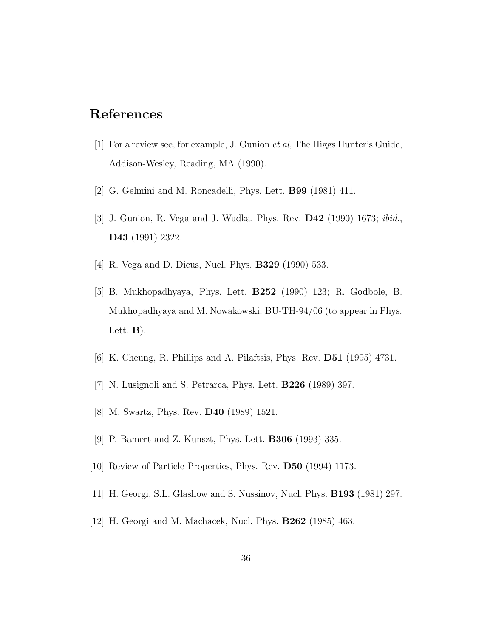## References

- [1] For a review see, for example, J. Gunion et al, The Higgs Hunter's Guide, Addison-Wesley, Reading, MA (1990).
- [2] G. Gelmini and M. Roncadelli, Phys. Lett. B99 (1981) 411.
- [3] J. Gunion, R. Vega and J. Wudka, Phys. Rev. D42 (1990) 1673; ibid., D43 (1991) 2322.
- [4] R. Vega and D. Dicus, Nucl. Phys. B329 (1990) 533.
- [5] B. Mukhopadhyaya, Phys. Lett. B252 (1990) 123; R. Godbole, B. Mukhopadhyaya and M. Nowakowski, BU-TH-94/06 (to appear in Phys. Lett.  $\bf{B}$ ).
- [6] K. Cheung, R. Phillips and A. Pilaftsis, Phys. Rev. D51 (1995) 4731.
- [7] N. Lusignoli and S. Petrarca, Phys. Lett. B226 (1989) 397.
- [8] M. Swartz, Phys. Rev. D40 (1989) 1521.
- [9] P. Bamert and Z. Kunszt, Phys. Lett. B306 (1993) 335.
- [10] Review of Particle Properties, Phys. Rev. D50 (1994) 1173.
- [11] H. Georgi, S.L. Glashow and S. Nussinov, Nucl. Phys. B193 (1981) 297.
- [12] H. Georgi and M. Machacek, Nucl. Phys. B262 (1985) 463.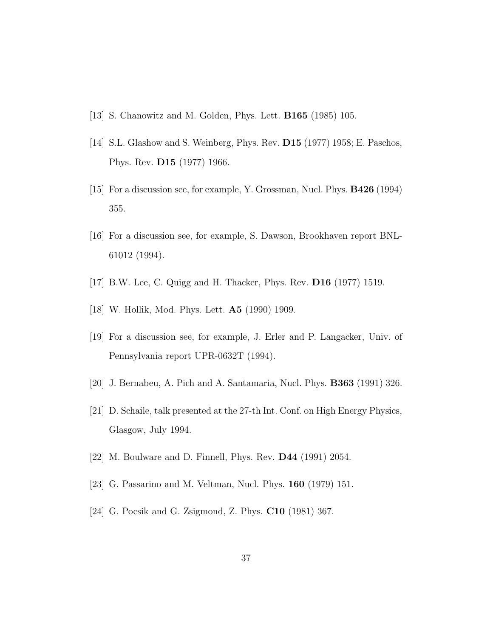- [13] S. Chanowitz and M. Golden, Phys. Lett. B165 (1985) 105.
- [14] S.L. Glashow and S. Weinberg, Phys. Rev. D15 (1977) 1958; E. Paschos, Phys. Rev. D15 (1977) 1966.
- [15] For a discussion see, for example, Y. Grossman, Nucl. Phys. B426 (1994) 355.
- [16] For a discussion see, for example, S. Dawson, Brookhaven report BNL-61012 (1994).
- [17] B.W. Lee, C. Quigg and H. Thacker, Phys. Rev. D16 (1977) 1519.
- [18] W. Hollik, Mod. Phys. Lett. A5 (1990) 1909.
- [19] For a discussion see, for example, J. Erler and P. Langacker, Univ. of Pennsylvania report UPR-0632T (1994).
- [20] J. Bernabeu, A. Pich and A. Santamaria, Nucl. Phys. B363 (1991) 326.
- [21] D. Schaile, talk presented at the 27-th Int. Conf. on High Energy Physics, Glasgow, July 1994.
- [22] M. Boulware and D. Finnell, Phys. Rev. D44 (1991) 2054.
- [23] G. Passarino and M. Veltman, Nucl. Phys. 160 (1979) 151.
- [24] G. Pocsik and G. Zsigmond, Z. Phys. C10 (1981) 367.